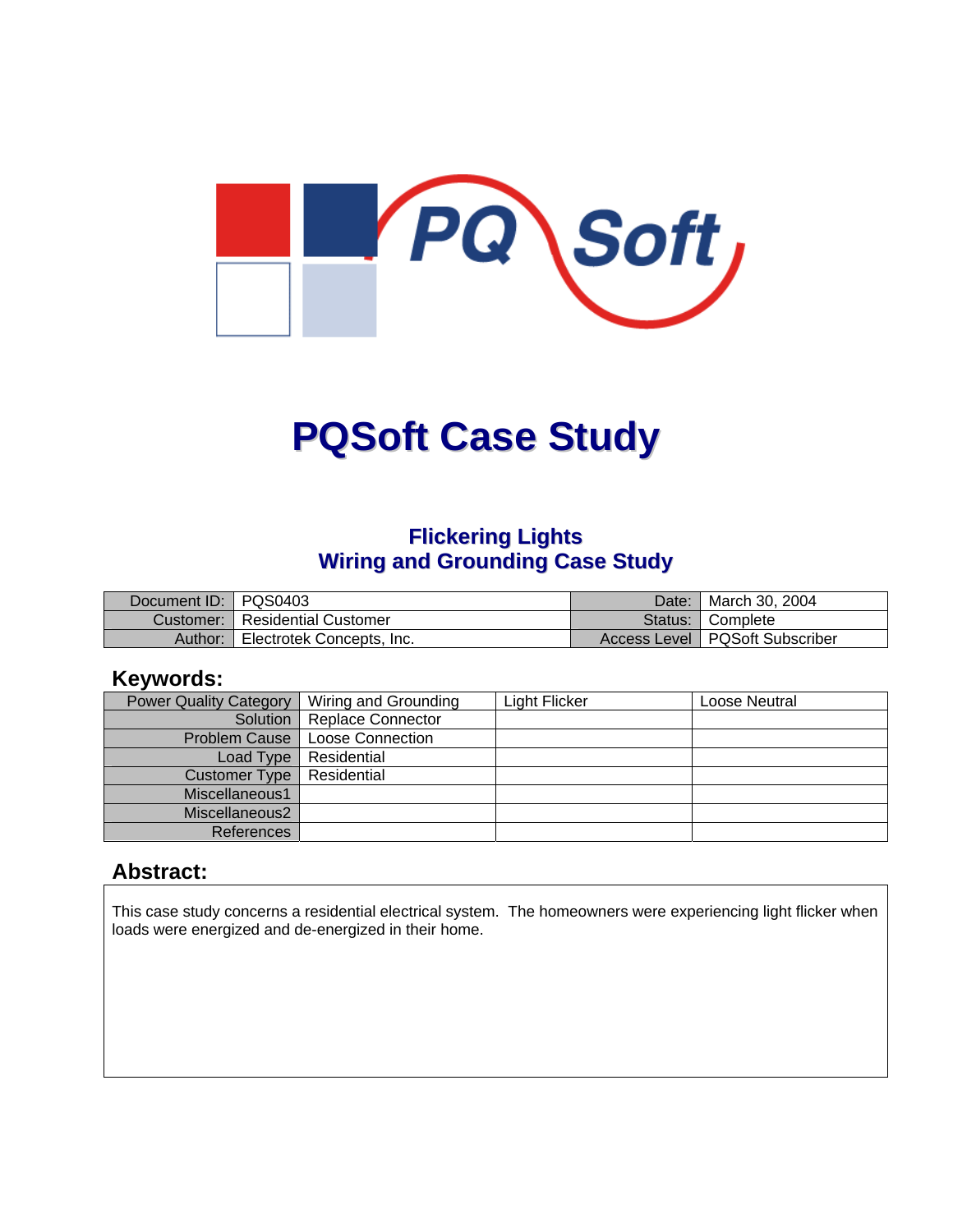

# **PQSoft Case Study**

## **Flickering Lights Wiring and Grounding Case Study**

| Document ID: PQS0403 |                                         | Date:   March 30, 2004           |
|----------------------|-----------------------------------------|----------------------------------|
|                      | <b>Customer:   Residential Customer</b> | Status: Complete                 |
| Author: I            | Electrotek Concepts, Inc.               | Access Level   PQSoft Subscriber |

#### **Keywords:**

| <b>Power Quality Category</b> | Wiring and Grounding         | <b>Light Flicker</b> | Loose Neutral |
|-------------------------------|------------------------------|----------------------|---------------|
|                               | Solution   Replace Connector |                      |               |
| <b>Problem Cause</b>          | <b>Loose Connection</b>      |                      |               |
| Load Type                     | Residential                  |                      |               |
| Customer Type                 | Residential                  |                      |               |
| Miscellaneous1                |                              |                      |               |
| Miscellaneous2                |                              |                      |               |
| References                    |                              |                      |               |

#### **Abstract:**

This case study concerns a residential electrical system. The homeowners were experiencing light flicker when loads were energized and de-energized in their home.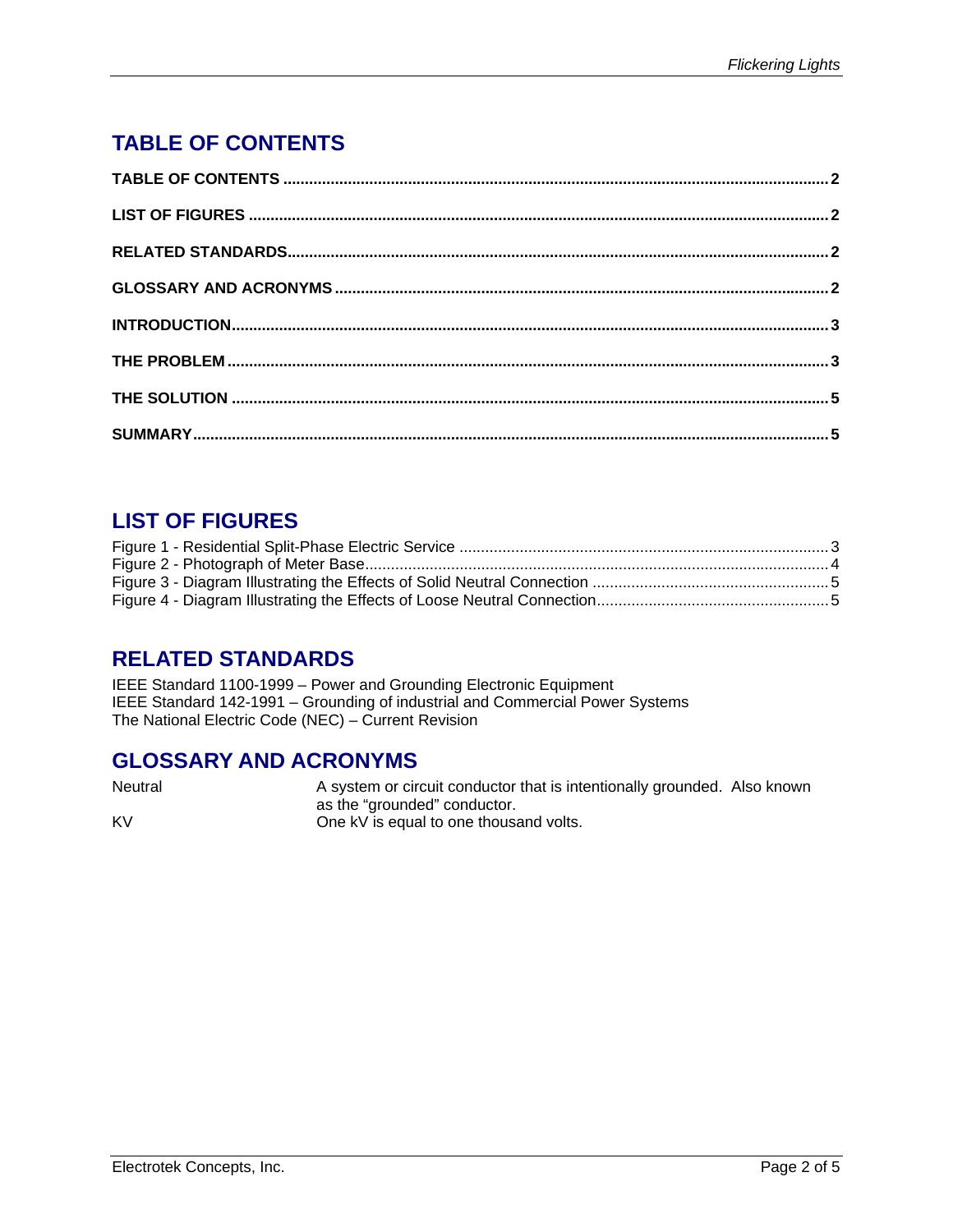# <span id="page-1-0"></span>**TABLE OF CONTENTS**

# **LIST OF FIGURES**

#### **RELATED STANDARDS**

IEEE Standard 1100-1999 – Power and Grounding Electronic Equipment IEEE Standard 142-1991 – Grounding of industrial and Commercial Power Systems The National Electric Code (NEC) – Current Revision

#### **GLOSSARY AND ACRONYMS**

Neutral Meutral A system or circuit conductor that is intentionally grounded. Also known as the "grounded" conductor. KV **CONFIDENTIAL CONFIDENT** One kV is equal to one thousand volts.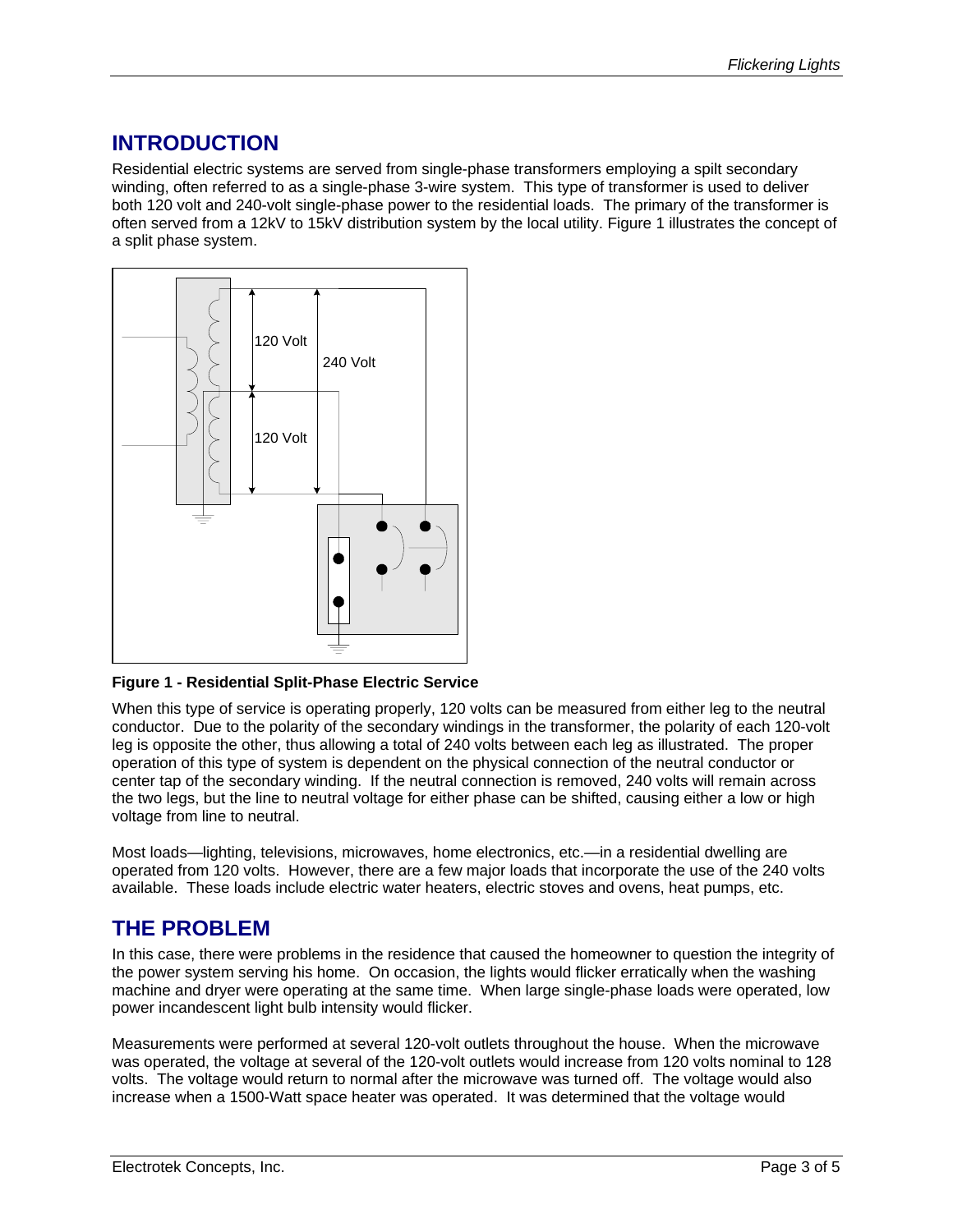## <span id="page-2-0"></span>**INTRODUCTION**

Residential electric systems are served from single-phase transformers employing a spilt secondary winding, often referred to as a single-phase 3-wire system. This type of transformer is used to deliver both 120 volt and 240-volt single-phase power to the residential loads. The primary of the transformer is often served from a 12kV to 15kV distribution system by the local utility. [Figure 1](#page-2-1) illustrates the concept of a split phase system.

<span id="page-2-1"></span>

**Figure 1 - Residential Split-Phase Electric Service** 

When this type of service is operating properly, 120 volts can be measured from either leg to the neutral conductor. Due to the polarity of the secondary windings in the transformer, the polarity of each 120-volt leg is opposite the other, thus allowing a total of 240 volts between each leg as illustrated. The proper operation of this type of system is dependent on the physical connection of the neutral conductor or center tap of the secondary winding. If the neutral connection is removed, 240 volts will remain across the two legs, but the line to neutral voltage for either phase can be shifted, causing either a low or high voltage from line to neutral.

Most loads—lighting, televisions, microwaves, home electronics, etc.—in a residential dwelling are operated from 120 volts. However, there are a few major loads that incorporate the use of the 240 volts available. These loads include electric water heaters, electric stoves and ovens, heat pumps, etc.

#### **THE PROBLEM**

In this case, there were problems in the residence that caused the homeowner to question the integrity of the power system serving his home. On occasion, the lights would flicker erratically when the washing machine and dryer were operating at the same time. When large single-phase loads were operated, low power incandescent light bulb intensity would flicker.

Measurements were performed at several 120-volt outlets throughout the house. When the microwave was operated, the voltage at several of the 120-volt outlets would increase from 120 volts nominal to 128 volts. The voltage would return to normal after the microwave was turned off. The voltage would also increase when a 1500-Watt space heater was operated. It was determined that the voltage would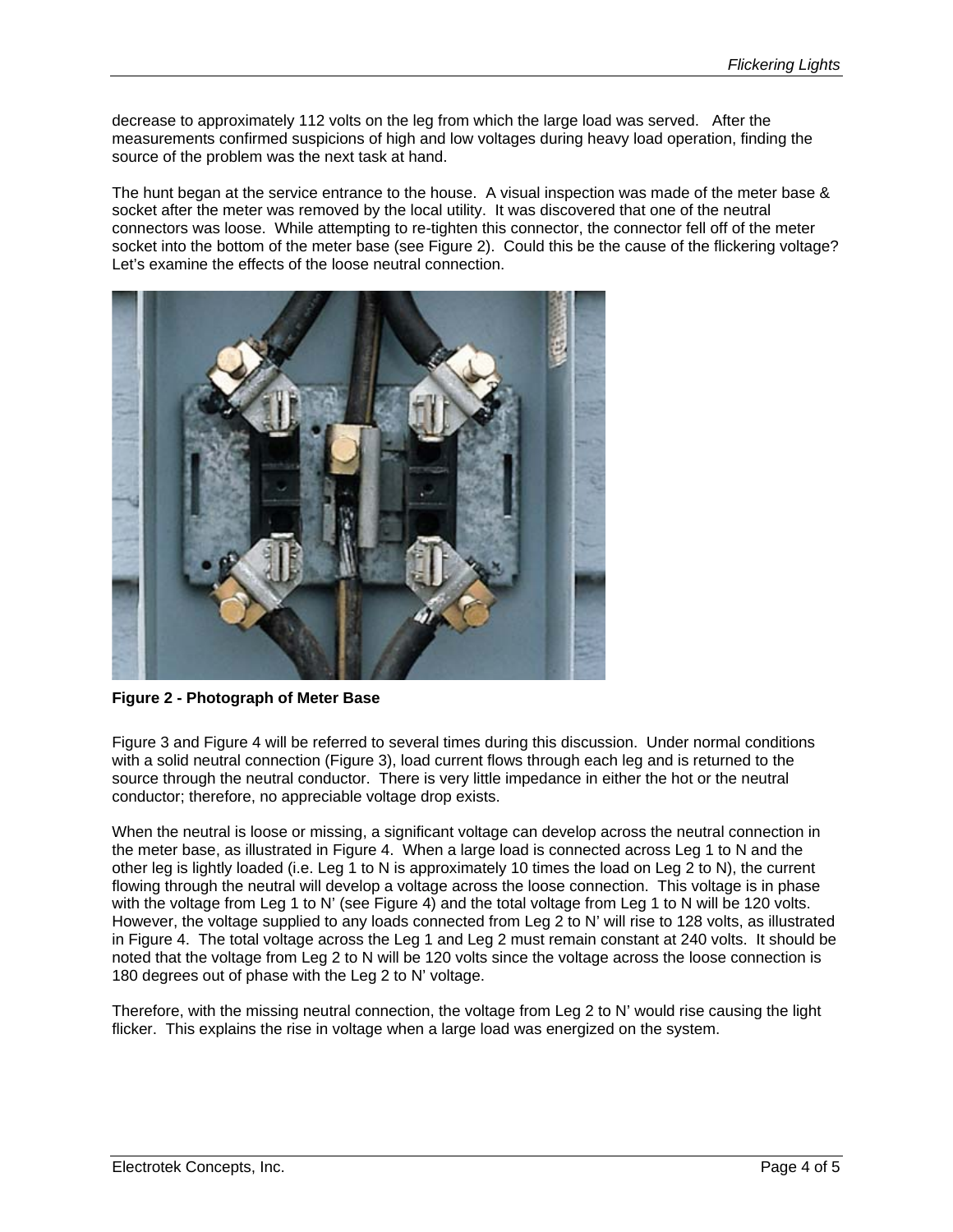<span id="page-3-0"></span>decrease to approximately 112 volts on the leg from which the large load was served. After the measurements confirmed suspicions of high and low voltages during heavy load operation, finding the source of the problem was the next task at hand.

The hunt began at the service entrance to the house. A visual inspection was made of the meter base & socket after the meter was removed by the local utility. It was discovered that one of the neutral connectors was loose. While attempting to re-tighten this connector, the connector fell off of the meter socket into the bottom of the meter base (see [Figure 2\)](#page-3-1). Could this be the cause of the flickering voltage? Let's examine the effects of the loose neutral connection.

<span id="page-3-1"></span>

**Figure 2 - Photograph of Meter Base**

[Figure 3](#page-4-1) and [Figure 4](#page-4-2) will be referred to several times during this discussion. Under normal conditions with a solid neutral connection [\(Figure 3\)](#page-4-1), load current flows through each leg and is returned to the source through the neutral conductor. There is very little impedance in either the hot or the neutral conductor; therefore, no appreciable voltage drop exists.

When the neutral is loose or missing, a significant voltage can develop across the neutral connection in the meter base, as illustrated in [Figure 4.](#page-4-2) When a large load is connected across Leg 1 to N and the other leg is lightly loaded (i.e. Leg 1 to N is approximately 10 times the load on Leg 2 to N), the current flowing through the neutral will develop a voltage across the loose connection. This voltage is in phase with the voltage from Leg 1 to N' (see [Figure 4\)](#page-4-2) and the total voltage from Leg 1 to N will be 120 volts. However, the voltage supplied to any loads connected from Leg 2 to N' will rise to 128 volts, as illustrated in [Figure 4.](#page-4-2) The total voltage across the Leg 1 and Leg 2 must remain constant at 240 volts. It should be noted that the voltage from Leg 2 to N will be 120 volts since the voltage across the loose connection is 180 degrees out of phase with the Leg 2 to N' voltage.

Therefore, with the missing neutral connection, the voltage from Leg 2 to N' would rise causing the light flicker. This explains the rise in voltage when a large load was energized on the system.